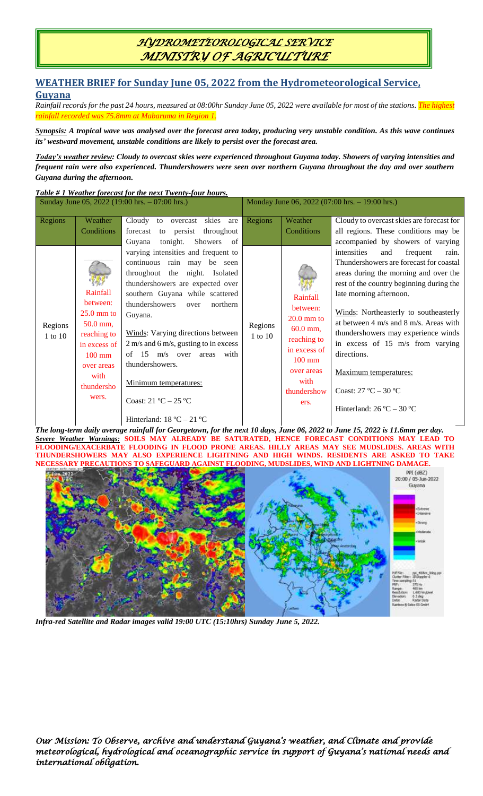# *HYDROMETEOROLOGICAL SERVICE MINISTRY OF AGRICULTURE*

### **WEATHER BRIEF for Sunday June 05, 2022 from the Hydrometeorological Service,**

### **Guyana**

*Rainfall records for the past 24 hours, measured at 08:00hr Sunday June 05, 2022 were available for most of the stations. The highest rainfall recorded was 75.8mm at Mabaruma in Region 1.*

*Synopsis: A tropical wave was analysed over the forecast area today, producing very unstable condition. As this wave continues its' westward movement, unstable conditions are likely to persist over the forecast area.*

*Today's weather review: Cloudy to overcast skies were experienced throughout Guyana today. Showers of varying intensities and frequent rain were also experienced. Thundershowers were seen over northern Guyana throughout the day and over southern Guyana during the afternoon.*

*Table # 1 Weather forecast for the next Twenty-four hours.*

| Sunday June 05, 2022 (19:00 hrs. – 07:00 hrs.) |                                                                                                                                                  |                                                                                                                                                                                                                                                                                                                                                                                                                                       | Monday June 06, 2022 (07:00 hrs. - 19:00 hrs.) |                                                                                                                                                    |                                                                                                                                                                                                                                                                                                                                                                                                                                                             |
|------------------------------------------------|--------------------------------------------------------------------------------------------------------------------------------------------------|---------------------------------------------------------------------------------------------------------------------------------------------------------------------------------------------------------------------------------------------------------------------------------------------------------------------------------------------------------------------------------------------------------------------------------------|------------------------------------------------|----------------------------------------------------------------------------------------------------------------------------------------------------|-------------------------------------------------------------------------------------------------------------------------------------------------------------------------------------------------------------------------------------------------------------------------------------------------------------------------------------------------------------------------------------------------------------------------------------------------------------|
| Regions                                        | Weather<br>Conditions                                                                                                                            | Cloudy<br>skies are<br>overcast<br>to<br>to persist<br>throughout<br>forecast<br>tonight.<br>Showers of<br>Guyana<br>varying intensities and frequent to                                                                                                                                                                                                                                                                              | Regions                                        | Weather<br>Conditions                                                                                                                              | Cloudy to overcast skies are forecast for<br>all regions. These conditions may be<br>accompanied by showers of varying<br>intensities<br>frequent<br>and<br>rain.                                                                                                                                                                                                                                                                                           |
| Regions<br>1 to 10                             | Rainfall<br>between:<br>$25.0 \text{ mm}$ to<br>50.0 mm,<br>reaching to<br>in excess of<br>$100$ mm<br>over areas<br>with<br>thundersho<br>wers. | continuous rain may be seen<br>throughout the night. Isolated<br>thundershowers are expected over<br>southern Guyana while scattered<br>thundershowers<br>northern<br>over<br>Guyana.<br>Winds: Varying directions between<br>2 m/s and 6 m/s, gusting to in excess<br>of $15 \text{ m/s}$ over<br>with<br>areas<br>thundershowers.<br>Minimum temperatures:<br>Coast: $21 °C - 25 °C$<br>Hinterland: $18 \text{ °C} - 21 \text{ °C}$ | Regions<br>$1$ to $10\,$                       | Rainfall<br>between:<br>$20.0$ mm to<br>$60.0$ mm,<br>reaching to<br>in excess of<br>$100 \text{ mm}$<br>over areas<br>with<br>thundershow<br>ers. | Thundershowers are forecast for coastal<br>areas during the morning and over the<br>rest of the country beginning during the<br>late morning afternoon.<br>Winds: Northeasterly to southeasterly<br>at between $4 \text{ m/s}$ and $8 \text{ m/s}$ . Areas with<br>thundershowers may experience winds<br>in excess of 15 m/s from varying<br>directions.<br>Maximum temperatures:<br>Coast: $27 °C - 30 °C$<br>Hinterland: $26^{\circ}$ C – $30^{\circ}$ C |

*The long-term daily average rainfall for Georgetown, for the next 10 days, June 06, 2022 to June 15, 2022 is 11.6mm per day. Severe Weather Warnings:* **SOILS MAY ALREADY BE SATURATED, HENCE FORECAST CONDITIONS MAY LEAD TO FLOODING/EXACERBATE FLOODING IN FLOOD PRONE AREAS. HILLY AREAS MAY SEE MUDSLIDES. AREAS WITH THUNDERSHOWERS MAY ALSO EXPERIENCE LIGHTNING AND HIGH WINDS. RESIDENTS ARE ASKED TO TAKE NECESSARY PRECAUTIONS TO SAFEGUARD AGAINST FLOODING, MUDSLIDES, WIND AND LIGHTNING DAMAGE.**



*Infra-red Satellite and Radar images valid 19:00 UTC (15:10hrs) Sunday June 5, 2022.*

*Our Mission: To Observe, archive and understand Guyana's weather, and Climate and provide meteorological, hydrological and oceanographic service in support of Guyana's national needs and international obligation.*